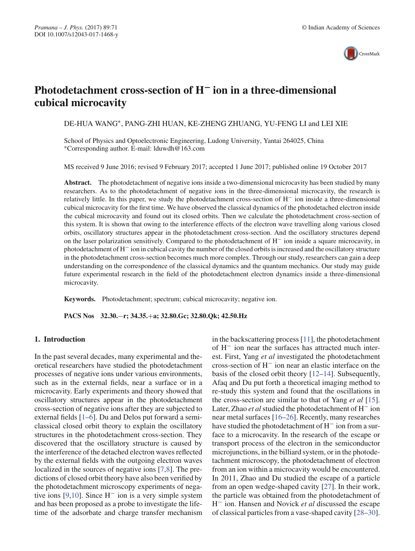

# **Photodetachment cross-section of H− ion in a three-dimensional cubical microcavity**

DE-HUA WANG∗, PANG-ZHI HUAN, KE-ZHENG ZHUANG, YU-FENG LI and LEI XIE

School of Physics and Optoelectronic Engineering, Ludong University, Yantai 264025, China ∗Corresponding author. E-mail: lduwdh@163.com

MS received 9 June 2016; revised 9 February 2017; accepted 1 June 2017; published online 19 October 2017

**Abstract.** The photodetachment of negative ions inside a two-dimensional microcavity has been studied by many researchers. As to the photodetachment of negative ions in the three-dimensional microcavity, the research is relatively little. In this paper, we study the photodetachment cross-section of H− ion inside a three-dimensional cubical microcavity for the first time. We have observed the classical dynamics of the photodetached electron inside the cubical microcavity and found out its closed orbits. Then we calculate the photodetachment cross-section of this system. It is shown that owing to the interference effects of the electron wave travelling along various closed orbits, oscillatory structures appear in the photodetachment cross-section. And the oscillatory structures depend on the laser polarization sensitively. Compared to the photodetachment of H− ion inside a square microcavity, in photodetachment of H− ion in cubical cavity the number of the closed orbits is increased and the oscillatory structure in the photodetachment cross-section becomes much more complex. Through our study, researchers can gain a deep understanding on the correspondence of the classical dynamics and the quantum mechanics. Our study may guide future experimental research in the field of the photodetachment electron dynamics inside a three-dimensional microcavity.

**Keywords.** Photodetachment; spectrum; cubical microcavity; negative ion.

**PACS Nos 32.30.**−**r; 34.35.**+**a; 32.80.Gc; 32.80.Qk; 42.50.Hz**

## **1. Introduction**

In the past several decades, many experimental and theoretical researchers have studied the photodetachment processes of negative ions under various environments, such as in the external fields, near a surface or in a microcavity. Early experiments and theory showed that oscillatory structures appear in the photodetachment cross-section of negative ions after they are subjected to external fields [1–6]. Du and Delos put forward a semiclassical closed orbit theory to explain the oscillatory structures in the photodetachment cross-section. They discovered that the oscillatory structure is caused by the interference of the detached electron waves reflected by the external fields with the outgoing electron waves localized in the sources of negative ions [7,8]. The predictions of closed orbit theory have also been verified by the photodetachment microscopy experiments of negative ions [9,10]. Since  $H^-$  ion is a very simple system and has been proposed as a probe to investigate the lifetime of the adsorbate and charge transfer mechanism in the backscattering process [11], the photodetachment of H− ion near the surfaces has attracted much interest. First, Yang *et al* investigated the photodetachment cross-section of H− ion near an elastic interface on the basis of the closed orbit theory [12–14]. Subsequently, Afaq and Du put forth a theoretical imaging method to re-study this system and found that the oscillations in the cross-section are similar to that of Yang *et al* [15]. Later, Zhao *et al*studied the photodetachment of H<sup>−</sup> ion near metal surfaces [16–26]. Recently, many researches have studied the photodetachment of H− ion from a surface to a microcavity. In the research of the escape or transport process of the electron in the semiconductor microjunctions, in the billiard system, or in the photodetachment microscopy, the photodetachment of electron from an ion within a microcavity would be encountered. In 2011, Zhao and Du studied the escape of a particle from an open wedge-shaped cavity [27]. In their work, the particle was obtained from the photodetachment of H<sup>−</sup> ion. Hansen and Novick *et al* discussed the escape of classical particles from a vase-shaped cavity [28–30].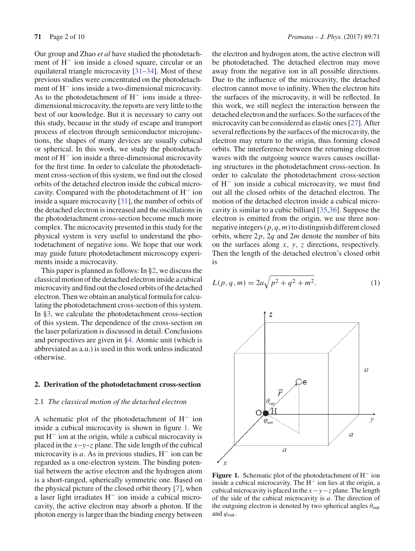Our group and Zhao *et al* have studied the photodetachment of H− ion inside a closed square, circular or an equilateral triangle microcavity [31–34]. Most of these previous studies were concentrated on the photodetachment of H− ions inside a two-dimensional microcavity. As to the photodetachment of  $H^-$  ions inside a threedimensional microcavity, the reports are very little to the best of our knowledge. But it is necessary to carry out this study, because in the study of escape and transport process of electron through semiconductor microjunctions, the shapes of many devices are usually cubical or spherical. In this work, we study the photodetachment of H− ion inside a three-dimensional microcavity for the first time. In order to calculate the photodetachment cross-section of this system, we find out the closed orbits of the detached electron inside the cubical microcavity. Compared with the photodetachment of H− ion inside a square microcavity [31], the number of orbits of the detached electron is increased and the oscillations in the photodetachment cross-section become much more complex. The microcavity presented in this study for the physical system is very useful to understand the photodetachment of negative ions. We hope that our work may guide future photodetachment microscopy experiments inside a microcavity.

This paper is planned as follows: In §2, we discuss the classical motion of the detached electron inside a cubical microcavity and find out the closed orbits of the detached electron. Then we obtain an analytical formula for calculating the photodetachment cross-section of this system. In §3, we calculate the photodetachment cross-section of this system. The dependence of the cross-section on the laser polarization is discussed in detail. Conclusions and perspectives are given in §4. Atomic unit (which is abbreviated as a.u.) is used in this work unless indicated otherwise.

#### **2. Derivation of the photodetachment cross-section**

#### 2.1 *The classical motion of the detached electron*

A schematic plot of the photodetachment of H− ion inside a cubical microcavity is shown in figure 1. We put H− ion at the origin, while a cubical microcavity is placed in the  $x-y-z$  plane. The side length of the cubical microcavity is *a*. As in previous studies, H− ion can be regarded as a one-electron system. The binding potential between the active electron and the hydrogen atom is a short-ranged, spherically symmetric one. Based on the physical picture of the closed orbit theory [7], when a laser light irradiates H− ion inside a cubical microcavity, the active electron may absorb a photon. If the photon energy is larger than the binding energy between the electron and hydrogen atom, the active electron will be photodetached. The detached electron may move away from the negative ion in all possible directions. Due to the influence of the microcavity, the detached electron cannot move to infinity. When the electron hits the surfaces of the microcavity, it will be reflected. In this work, we still neglect the interaction between the detached electron and the surfaces. So the surfaces of the microcavity can be considered as elastic ones [27]. After several reflections by the surfaces of the microcavity, the electron may return to the origin, thus forming closed orbits. The interference between the returning electron waves with the outgoing source waves causes oscillating structures in the photodetachment cross-section. In order to calculate the photodetachment cross-section of H− ion inside a cubical microcavity, we must find out all the closed orbits of the detached electron. The motion of the detached electron inside a cubical microcavity is similar to a cubic billiard [35,36]. Suppose the electron is emitted from the origin, we use three nonnegative integers (*p*, *q*, *m*) to distinguish different closed orbits, where 2*p*, 2*q* and 2*m* denote the number of hits on the surfaces along *x*, *y*, *z* directions, respectively. Then the length of the detached electron's closed orbit is

$$
L(p, q, m) = 2a\sqrt{p^2 + q^2 + m^2}.
$$
 (1)



**Figure 1.** Schematic plot of the photodetachment of H− ion inside a cubical microcavity. The H− ion lies at the origin, a cubical microcavity is placed in the *x*−*y*−*z* plane. The length of the side of the cubical microcavity is *a*. The direction of the outgoing electron is denoted by two spherical angles  $\theta_{\text{out}}$ and  $\varphi_{\text{out}}$ .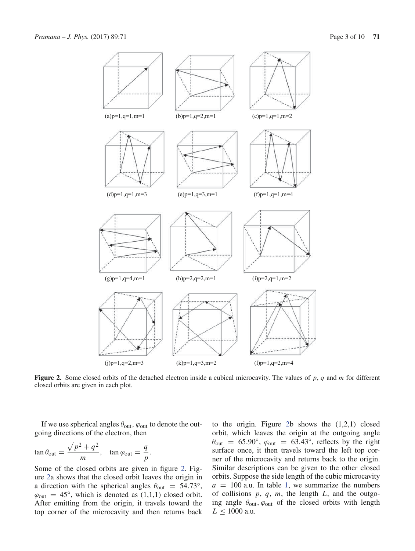

**Figure 2.** Some closed orbits of the detached electron inside a cubical microcavity. The values of *p*, *q* and *m* for different closed orbits are given in each plot.

If we use spherical angles  $\theta_{\text{out}}$ ,  $\varphi_{\text{out}}$  to denote the outgoing directions of the electron, then

.

$$
\tan \theta_{\text{out}} = \frac{\sqrt{p^2 + q^2}}{m}, \quad \tan \varphi_{\text{out}} = \frac{q}{p}
$$

Some of the closed orbits are given in figure 2. Figure 2a shows that the closed orbit leaves the origin in a direction with the spherical angles  $\theta_{\text{out}} = 54.73^{\circ}$ ,  $\varphi_{\text{out}} = 45^{\circ}$ , which is denoted as  $(1,1,1)$  closed orbit. After emitting from the origin, it travels toward the top corner of the microcavity and then returns back

to the origin. Figure 2b shows the  $(1,2,1)$  closed orbit, which leaves the origin at the outgoing angle  $\theta_{\text{out}}$  = 65.90°,  $\varphi_{\text{out}}$  = 63.43°, reflects by the right surface once, it then travels toward the left top corner of the microcavity and returns back to the origin. Similar descriptions can be given to the other closed orbits. Suppose the side length of the cubic microcavity  $a = 100$  a.u. In table 1, we summarize the numbers of collisions *p*, *q*, *m*, the length *L*, and the outgoing angle  $\theta_{\text{out}}$ ,  $\varphi_{\text{out}}$  of the closed orbits with length  $L \le 1000$  a.u.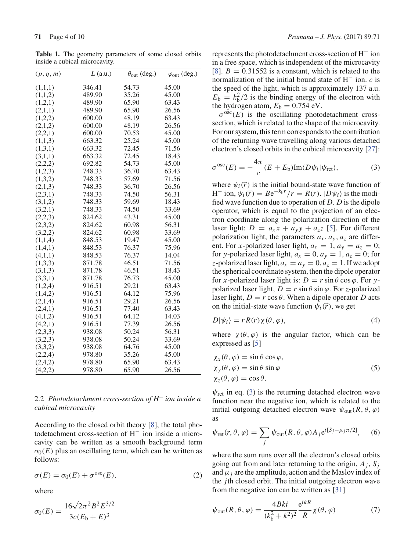**Table 1.** The geometry parameters of some closed orbits inside a cubical microcavity.

| (p, q, m) | $L$ (a.u.) | $\theta_{\text{out}}$ (deg.) | $\varphi_{\text{out}}$ (deg.) |
|-----------|------------|------------------------------|-------------------------------|
| (1,1,1)   | 346.41     | 54.73                        | 45.00                         |
| (1,1,2)   | 489.90     | 35.26                        | 45.00                         |
| (1,2,1)   | 489.90     | 65.90                        | 63.43                         |
| (2,1,1)   | 489.90     | 65.90                        | 26.56                         |
| (1,2,2)   | 600.00     | 48.19                        | 63.43                         |
| (2,1,2)   | 600.00     | 48.19                        | 26.56                         |
| (2,2,1)   | 600.00     | 70.53                        | 45.00                         |
| (1,1,3)   | 663.32     | 25.24                        | 45.00                         |
| (1,3,1)   | 663.32     | 72.45                        | 71.56                         |
| (3,1,1)   | 663.32     | 72.45                        | 18.43                         |
| (2,2,2)   | 692.82     | 54.73                        | 45.00                         |
| (1,2,3)   | 748.33     | 36.70                        | 63.43                         |
| (1,3,2)   | 748.33     | 57.69                        | 71.56                         |
| (2,1,3)   | 748.33     | 36.70                        | 26.56                         |
| (2,3,1)   | 748.33     | 74.50                        | 56.31                         |
| (3,1,2)   | 748.33     | 59.69                        | 18.43                         |
| (3,2,1)   | 748.33     | 74.50                        | 33.69                         |
| (2,2,3)   | 824.62     | 43.31                        | 45.00                         |
| (2,3,2)   | 824.62     | 60.98                        | 56.31                         |
| (3,2,2)   | 824.62     | 60.98                        | 33.69                         |
| (1,1,4)   | 848.53     | 19.47                        | 45.00                         |
| (1,4,1)   | 848.53     | 76.37                        | 75.96                         |
| (4,1,1)   | 848.53     | 76.37                        | 14.04                         |
| (1,3,3)   | 871.78     | 46.51                        | 71.56                         |
| (3,1,3)   | 871.78     | 46.51                        | 18.43                         |
| (3,3,1)   | 871.78     | 76.73                        | 45.00                         |
| (1,2,4)   | 916.51     | 29.21                        | 63.43                         |
| (1,4,2)   | 916.51     | 64.12                        | 75.96                         |
| (2,1,4)   | 916.51     | 29.21                        | 26.56                         |
| (2,4,1)   | 916.51     | 77.40                        | 63.43                         |
| (4,1,2)   | 916.51     | 64.12                        | 14.03                         |
| (4,2,1)   | 916.51     | 77.39                        | 26.56                         |
| (2,3,3)   | 938.08     | 50.24                        | 56.31                         |
| (3,2,3)   | 938.08     | 50.24                        | 33.69                         |
| (3,3,2)   | 938.08     | 64.76                        | 45.00                         |
| (2,2,4)   | 978.80     | 35.26                        | 45.00                         |
| (2,4,2)   | 978.80     | 65.90                        | 63.43                         |
| (4,2,2)   | 978.80     | 65.90                        | 26.56                         |

2.2 *Photodetachment cross-section of H*<sup>−</sup> *ion inside a cubical microcavity*

According to the closed orbit theory [8], the total photodetachment cross-section of H− ion inside a microcavity can be written as a smooth background term  $\sigma_0(E)$  plus an oscillating term, which can be written as follows:

$$
\sigma(E) = \sigma_0(E) + \sigma^{osc}(E), \qquad (2)
$$

where

$$
\sigma_0(E) = \frac{16\sqrt{2}\pi^2 B^2 E^{3/2}}{3c(E_b + E)^3}
$$

represents the photodetachment cross-section of H− ion in a free space, which is independent of the microcavity [8].  $B = 0.31552$  is a constant, which is related to the normalization of the initial bound state of H− ion. *c* is the speed of the light, which is approximately 137 a.u.  $E_b = k_b^2/2$  is the binding energy of the electron with the hydrogen atom,  $E<sub>b</sub> = 0.754$  eV.

 $\sigma^{osc}(E)$  is the oscillating photodetachment crosssection, which is related to the shape of the microcavity. For our system, this term corresponds to the contribution of the returning wave travelling along various detached electron's closed orbits in the cubical microcavity [27]:

$$
\sigma^{osc}(E) = -\frac{4\pi}{c}(E + E_b) \text{Im}\langle D\psi_i | \psi_{\text{ret}} \rangle,
$$
 (3)

where  $\psi_i(\vec{r})$  is the initial bound-state wave function of  $H^-$  ion,  $\psi_i(\vec{r}) = Be^{-k_b r}/r = R(r)$ .  $|D\psi_i\rangle$  is the modified wave function due to operation of *D*. *D* is the dipole operator, which is equal to the projection of an electron coordinate along the polarization direction of the laser light:  $D = a_x x + a_y y + a_z z$  [5]. For different polarization light, the parameters  $a_x$ ,  $a_y$ ,  $a_z$  are different. For *x*-polarized laser light,  $a_x = 1$ ,  $a_y = a_z = 0$ ; for *y*-polarized laser light,  $a_x = 0$ ,  $a_y = 1$ ,  $a_z = 0$ ; for *z*-polarized laser light,  $a_x = a_y = 0, a_z = 1$ . If we adopt the spherical coordinate system, then the dipole operator for *x*-polarized laser light is:  $D = r \sin \theta \cos \varphi$ . For ypolarized laser light,  $D = r \sin \theta \sin \varphi$ . For *z*-polarized laser light,  $D = r \cos \theta$ . When a dipole operator *D* acts on the initial-state wave function  $\psi_i(\vec{r})$ , we get

$$
D|\psi_i\rangle = rR(r)\chi(\theta,\varphi),\tag{4}
$$

where  $\chi(\theta, \varphi)$  is the angular factor, which can be expressed as [5]

$$
\begin{aligned} \chi_x(\theta, \varphi) &= \sin \theta \cos \varphi, \\ \chi_y(\theta, \varphi) &= \sin \theta \sin \varphi \\ \chi_z(\theta, \varphi) &= \cos \theta. \end{aligned} \tag{5}
$$

 $\psi_{\text{ret}}$  in eq. (3) is the returning detached electron wave function near the negative ion, which is related to the initial outgoing detached electron wave  $\psi_{\text{out}}(R, \theta, \varphi)$ as

$$
\psi_{\text{ret}}(r,\theta,\varphi) = \sum_{j} \psi_{\text{out}}(R,\theta,\varphi) A_j e^{i[S_j - \mu_j \pi/2]},\qquad(6)
$$

where the sum runs over all the electron's closed orbits going out from and later returning to the origin,  $A_i$ ,  $S_i$ and  $\mu_i$  are the amplitude, action and the Maslov index of the *j*th closed orbit. The initial outgoing electron wave from the negative ion can be written as [31]

$$
\psi_{\text{out}}(R,\theta,\varphi) = \frac{4Bki}{(k_b^2 + k^2)^2} \frac{e^{ikR}}{R} \chi(\theta,\varphi) \tag{7}
$$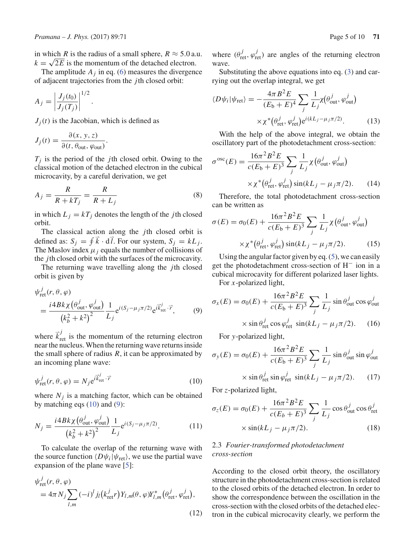in which *R* is the radius of a small sphere,  $R \approx 5.0$  a.u.  $k = \sqrt{2E}$  is the momentum of the detached electron.

The amplitude  $A_j$  in eq. (6) measures the divergence of adjacent trajectories from the *j*th closed orbit:

$$
A_j = \left| \frac{J_j(t_0)}{J_j(T_j)} \right|^{1/2}.
$$

 $J_i(t)$  is the Jacobian, which is defined as

$$
J_j(t) = \frac{\partial(x, y, z)}{\partial(t, \theta_{\text{out}}, \varphi_{\text{out}})}.
$$

 $T_i$  is the period of the *j*th closed orbit. Owing to the classical motion of the detached electron in the cubical microcavity, by a careful derivation, we get

$$
A_j = \frac{R}{R + kT_j} = \frac{R}{R + L_j} \tag{8}
$$

in which  $L_i = kT_i$  denotes the length of the *j*th closed orbit.

The classical action along the *j*th closed orbit is defined as:  $S_j = \oint \vec{k} \cdot d\vec{l}$ . For our system,  $S_j = kL_j$ . The Maslov index  $\mu_i$  equals the number of collisions of the *j*th closed orbit with the surfaces of the microcavity.

The returning wave travelling along the *j*th closed orbit is given by

$$
\psi_{\text{ret}}^j(r, \theta, \varphi)
$$
\n
$$
= \frac{i4Bk\chi(\theta_{\text{out}}^j, \varphi_{\text{out}}^j)}{(k_b^2 + k^2)^2} \frac{1}{L_j} e^{i(S_j - \mu_j \pi/2)} e^{i\vec{k}_{\text{ret}}^j \cdot \vec{r}}, \qquad (9)
$$

where  $\vec{k}_{\text{ret}}^j$  is the momentum of the returning electron near the nucleus. When the returning wave returns inside the small sphere of radius  $R$ , it can be approximated by an incoming plane wave:

$$
\psi_{\text{ret}}^j(r,\theta,\varphi) = N_j e^{i\vec{k}_{\text{ret}}^j \cdot \vec{r}}
$$
\n(10)

where  $N_i$  is a matching factor, which can be obtained by matching eqs  $(10)$  and  $(9)$ :

$$
N_{j} = \frac{i4Bk\chi(\theta_{\text{out}}^{j}, \varphi_{\text{out}}^{j})}{(k_{b}^{2} + k^{2})^{2}} \frac{1}{L_{j}} e^{i(S_{j} - \mu_{j}\pi/2)}.
$$
 (11)

To calculate the overlap of the returning wave with the source function  $\langle D\psi_i|\psi_{\text{ret}}\rangle$ , we use the partial wave expansion of the plane wave [5]:

$$
\psi_{\text{ret}}^j(r, \theta, \varphi)
$$
  
=  $4\pi N_j \sum_{l,m} (-i)^l j_l (k_{\text{ret}}^j r) Y_{l,m}(\theta, \varphi) Y_{l,m}^* (\theta_{\text{ret}}^j, \varphi_{\text{ret}}^j),$  (12)

where  $(\theta_{\text{ret}}^j, \varphi_{\text{ret}}^j)$  are angles of the returning electron wave.

Substituting the above equations into eq. (3) and carrying out the overlap integral, we get

$$
\langle D\psi_i|\psi_{\text{ret}}\rangle = -\frac{4\pi B^2 E}{(E_b + E)^4} \sum_j \frac{1}{L_j} \chi(\theta_{\text{out}}^j, \varphi_{\text{out}}^j)
$$

$$
\times \chi^*(\theta_{\text{ret}}^j, \varphi_{\text{ret}}^j) e^{i(kL_j - \mu_j \pi/2)}.
$$
(13)

With the help of the above integral, we obtain the oscillatory part of the photodetachment cross-section:

$$
\sigma^{osc}(E) = \frac{16\pi^2 B^2 E}{c(E_b + E)^3} \sum_j \frac{1}{L_j} \chi(\theta_{out}^j, \varphi_{out}^j)
$$

$$
\times \chi^*(\theta_{ret}^j, \varphi_{ret}^j) \sin(kL_j - \mu_j \pi/2). \qquad (14)
$$

Therefore, the total photodetachment cross-section can be written as

$$
\sigma(E) = \sigma_0(E) + \frac{16\pi^2 B^2 E}{c(E_b + E)^3} \sum_j \frac{1}{L_j} \chi(\theta_{\text{out}}^j, \varphi_{\text{out}}^j)
$$

$$
\times \chi^*(\theta_{\text{ret}}^j, \varphi_{\text{ret}}^j) \sin(kL_j - \mu_j \pi/2). \tag{15}
$$

Using the angular factor given by eq. (5), we can easily get the photodetachment cross-section of H− ion in a cubical microcavity for different polarized laser lights.

For *x*-polarized light,

$$
\sigma_x(E) = \sigma_0(E) + \frac{16\pi^2 B^2 E}{c(E_b + E)^3} \sum_j \frac{1}{L_j} \sin \theta_{out}^j \cos \varphi_{out}^j
$$

$$
\times \sin \theta_{ret}^j \cos \varphi_{ret}^j \sin(kL_j - \mu_j \pi/2). \quad (16)
$$

For *y*-polarized light,

$$
\sigma_y(E) = \sigma_0(E) + \frac{16\pi^2 B^2 E}{c(E_b + E)^3} \sum_j \frac{1}{L_j} \sin \theta_{\text{out}}^j \sin \varphi_{\text{out}}^j
$$

$$
\times \sin \theta_{\text{ret}}^j \sin \varphi_{\text{ret}}^j \sin(kL_j - \mu_j \pi/2). \tag{17}
$$

For *z*-polarized light,

 $\sigma_z(E) = \sigma_0(E) +$  $16\pi^2 B^2 E$  $c(E_b + E)^3$  $\sum$ *j* 1  $L_j$  $\cos \theta_{\text{out}}^j \cos \theta_{\text{ret}}^j$  $\times \sin(kL_i - \mu_i \pi/2).$  (18)

# 2.3 *Fourier-transformed photodetachment cross-section*

According to the closed orbit theory, the oscillatory structure in the photodetachment cross-section is related to the closed orbits of the detached electron. In order to show the correspondence between the oscillation in the cross-section with the closed orbits of the detached electron in the cubical microcavity clearly, we perform the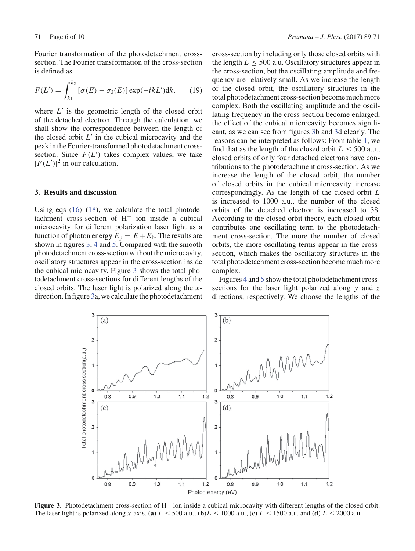Fourier transformation of the photodetachment crosssection. The Fourier transformation of the cross-section is defined as

$$
F(L') = \int_{k_1}^{k_2} [\sigma(E) - \sigma_0(E)] \exp(-ikL') dk, \qquad (19)
$$

where  $L'$  is the geometric length of the closed orbit of the detached electron. Through the calculation, we shall show the correspondence between the length of the closed orbit  $L'$  in the cubical microcavity and the peak in the Fourier-transformed photodetachment crosssection. Since  $F(L')$  takes complex values, we take  $|F(L')|^2$  in our calculation.

### **3. Results and discussion**

Using eqs  $(16)$ – $(18)$ , we calculate the total photodetachment cross-section of H− ion inside a cubical microcavity for different polarization laser light as a function of photon energy  $E_p = E + E_b$ . The results are shown in figures 3, 4 and 5. Compared with the smooth photodetachment cross-section without the microcavity, oscillatory structures appear in the cross-section inside the cubical microcavity. Figure 3 shows the total photodetachment cross-sections for different lengths of the closed orbits. The laser light is polarized along the *x*direction. In figure 3a, we calculate the photodetachment cross-section by including only those closed orbits with the length  $L \leq 500$  a.u. Oscillatory structures appear in the cross-section, but the oscillating amplitude and frequency are relatively small. As we increase the length of the closed orbit, the oscillatory structures in the total photodetachment cross-section become much more complex. Both the oscillating amplitude and the oscillating frequency in the cross-section become enlarged, the effect of the cubical microcavity becomes significant, as we can see from figures 3b and 3d clearly. The reasons can be interpreted as follows: From table 1, we find that as the length of the closed orbit  $L \leq 500$  a.u., closed orbits of only four detached electrons have contributions to the photodetachment cross-section. As we increase the length of the closed orbit, the number of closed orbits in the cubical microcavity increase correspondingly. As the length of the closed orbit *L* is increased to 1000 a.u., the number of the closed orbits of the detached electron is increased to 38. According to the closed orbit theory, each closed orbit contributes one oscillating term to the photodetachment cross-section. The more the number of closed orbits, the more oscillating terms appear in the crosssection, which makes the oscillatory structures in the total photodetachment cross-section become much more complex.

Figures 4 and 5 show the total photodetachment crosssections for the laser light polarized along *y* and *z* directions, respectively. We choose the lengths of the



**Figure 3.** Photodetachment cross-section of H− ion inside a cubical microcavity with different lengths of the closed orbit. The laser light is polarized along *x*-axis. (**a**)  $L \le 500$  a.u., (**b**)  $L \le 1000$  a.u., (**c**)  $L \le 1500$  a.u. and (**d**)  $L \le 2000$  a.u.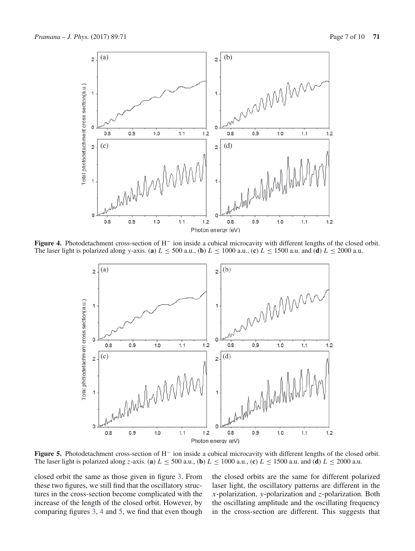

**Figure 4.** Photodetachment cross-section of H− ion inside a cubical microcavity with different lengths of the closed orbit. The laser light is polarized along *y*-axis. (**a**)  $L \le 500$  a.u., (**b**)  $L \le 1000$  a.u., (**c**)  $L \le 1500$  a.u. and (**d**)  $L \le 2000$  a.u.



**Figure 5.** Photodetachment cross-section of H− ion inside a cubical microcavity with different lengths of the closed orbit. The laser light is polarized along *z*-axis. (**a**)  $L \le 500$  a.u., (**b**)  $L \le 1000$  a.u., (**c**)  $L \le 1500$  a.u. and (**d**)  $L \le 2000$  a.u.

closed orbit the same as those given in figure 3. From these two figures, we still find that the oscillatory structures in the cross-section become complicated with the increase of the length of the closed orbit. However, by comparing figures 3, 4 and 5, we find that even though the closed orbits are the same for different polarized laser light, the oscillatory patterns are different in the *x*-polarization, *y*-polarization and *z*-polarization. Both the oscillating amplitude and the oscillating frequency in the cross-section are different. This suggests that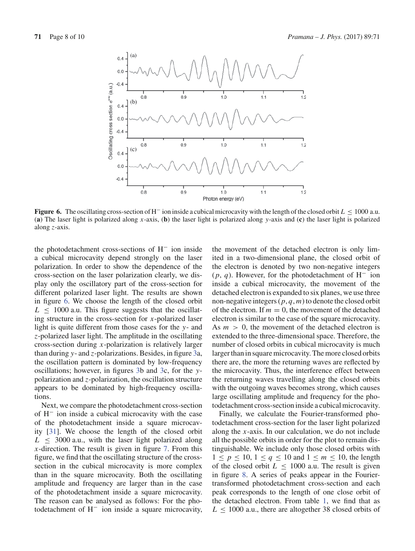

**Figure 6.** The oscillating cross-section of H<sup>−</sup> ion inside a cubical microcavity with the length of the closed orbit *L* ≤ 1000 a.u. (**a**) The laser light is polarized along *x*-axis, (**b**) the laser light is polarized along *y*-axis and (**c**) the laser light is polarized along *z*-axis.

the photodetachment cross-sections of H− ion inside a cubical microcavity depend strongly on the laser polarization. In order to show the dependence of the cross-section on the laser polarization clearly, we display only the oscillatory part of the cross-section for different polarized laser light. The results are shown in figure 6. We choose the length of the closed orbit  $L \leq 1000$  a.u. This figure suggests that the oscillating structure in the cross-section for *x*-polarized laser light is quite different from those cases for the *y*- and *z*-polarized laser light. The amplitude in the oscillating cross-section during *x*-polarization is relatively larger than during *y*- and *z*-polarizations. Besides, in figure 3a, the oscillation pattern is dominated by low-frequency oscillations; however, in figures 3b and 3c, for the *y*polarization and *z*-polarization, the oscillation structure appears to be dominated by high-frequency oscillations.

Next, we compare the photodetachment cross-section of H− ion inside a cubical microcavity with the case of the photodetachment inside a square microcavity [31]. We choose the length of the closed orbit  $L \leq 3000$  a.u., with the laser light polarized along *x*-direction. The result is given in figure 7. From this figure, we find that the oscillating structure of the crosssection in the cubical microcavity is more complex than in the square microcavity. Both the oscillating amplitude and frequency are larger than in the case of the photodetachment inside a square microcavity. The reason can be analysed as follows: For the photodetachment of H− ion inside a square microcavity, the movement of the detached electron is only limited in a two-dimensional plane, the closed orbit of the electron is denoted by two non-negative integers (*p*, *q*). However, for the photodetachment of H− ion inside a cubical microcavity, the movement of the detached electron is expanded to six planes, we use three non-negative integers (*p*, *q*, *m*) to denote the closed orbit of the electron. If  $m = 0$ , the movement of the detached electron is similar to the case of the square microcavity. As  $m > 0$ , the movement of the detached electron is extended to the three-dimensional space. Therefore, the number of closed orbits in cubical microcavity is much larger than in square microcavity. The more closed orbits there are, the more the returning waves are reflected by the microcavity. Thus, the interference effect between the returning waves travelling along the closed orbits with the outgoing waves becomes strong, which causes large oscillating amplitude and frequency for the photodetachment cross-section inside a cubical microcavity.

Finally, we calculate the Fourier-transformed photodetachment cross-section for the laser light polarized along the *x*-axis. In our calculation, we do not include all the possible orbits in order for the plot to remain distinguishable. We include only those closed orbits with  $1 \le p \le 10$ ,  $1 \le q \le 10$  and  $1 \le m \le 10$ , the length of the closed orbit  $L \leq 1000$  a.u. The result is given in figure 8. A series of peaks appear in the Fouriertransformed photodetachment cross-section and each peak corresponds to the length of one close orbit of the detached electron. From table 1, we find that as  $L \leq 1000$  a.u., there are altogether 38 closed orbits of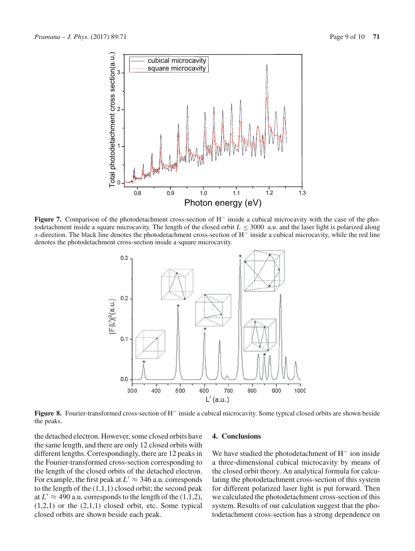

**Figure 7.** Comparison of the photodetachment cross-section of H− inside a cubical microcavity with the case of the photodetachment inside a square microcavity. The length of the closed orbit  $L \leq 3000$  a.u. and the laser light is polarized along *x*-direction. The black line denotes the photodetachment cross-section of H<sup>−</sup> inside a cubical microcavity, while the red line denotes the photodetachment cross-section inside a square microcavity.



**Figure 8.** Fourier-transformed cross-section of H− inside a cubical microcavity. Some typical closed orbits are shown beside the peaks.

the detached electron. However, some closed orbits have the same length, and there are only 12 closed orbits with different lengths. Correspondingly, there are 12 peaks in the Fourier-transformed cross-section corresponding to the length of the closed orbits of the detached electron. For example, the first peak at  $L' \approx 346$  a.u. corresponds to the length of the  $(1,1,1)$  closed orbit; the second peak at  $L' \approx 490$  a.u. corresponds to the length of the (1,1,2),  $(1,2,1)$  or the  $(2,1,1)$  closed orbit, etc. Some typical closed orbits are shown beside each peak.

## **4. Conclusions**

We have studied the photodetachment of H− ion inside a three-dimensional cubical microcavity by means of the closed orbit theory. An analytical formula for calculating the photodetachment cross-section of this system for different polarized laser light is put forward. Then we calculated the photodetachment cross-section of this system. Results of our calculation suggest that the photodetachment cross-section has a strong dependence on